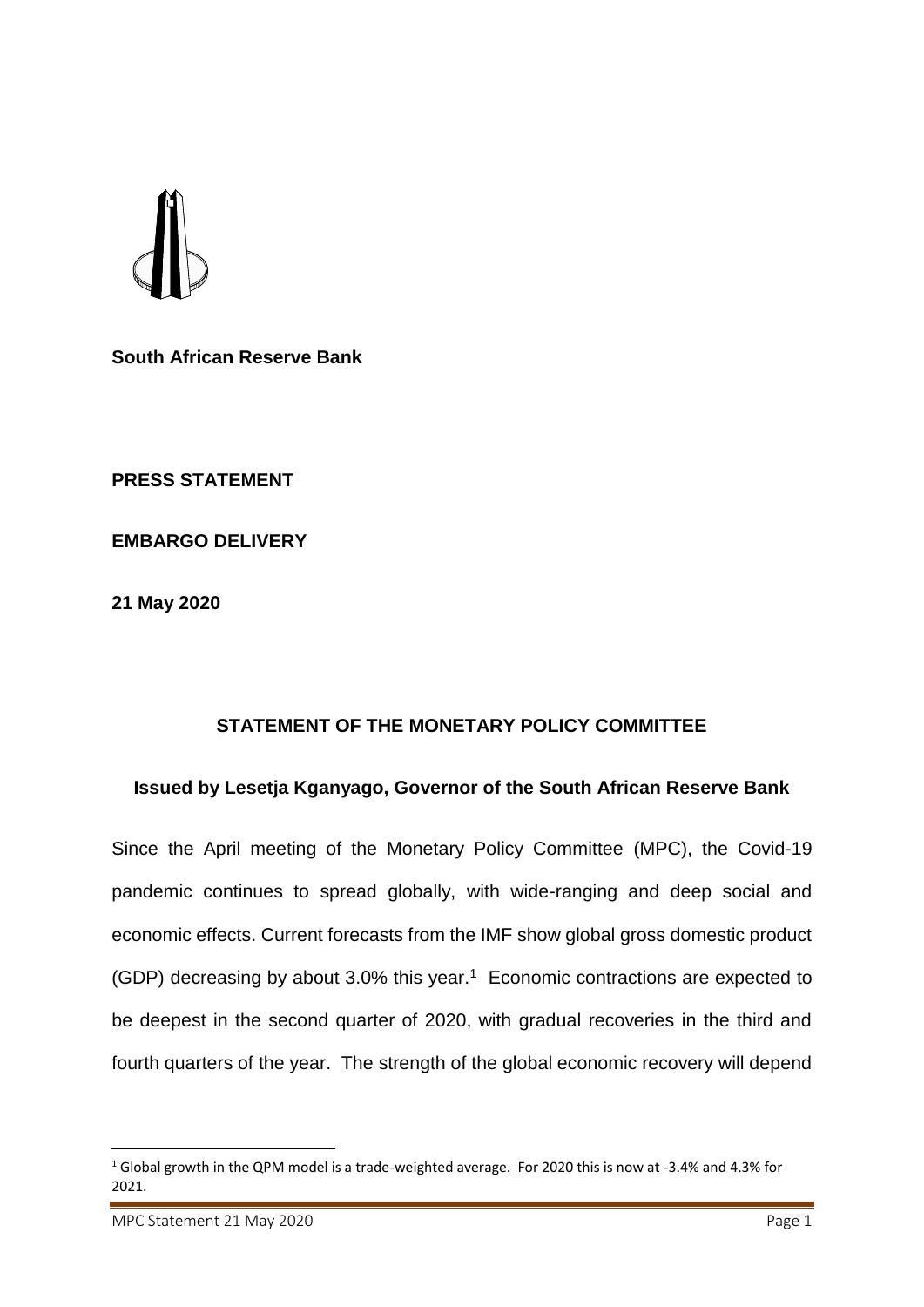**South African Reserve Bank**

**PRESS STATEMENT**

**EMBARGO DELIVERY**

**21 May 2020**

## **STATEMENT OF THE MONETARY POLICY COMMITTEE**

## **Issued by Lesetja Kganyago, Governor of the South African Reserve Bank**

Since the April meeting of the Monetary Policy Committee (MPC), the Covid-19 pandemic continues to spread globally, with wide-ranging and deep social and economic effects. Current forecasts from the IMF show global gross domestic product (GDP) decreasing by about 3.0% this year.<sup>1</sup> Economic contractions are expected to be deepest in the second quarter of 2020, with gradual recoveries in the third and fourth quarters of the year. The strength of the global economic recovery will depend

1

<sup>1</sup> Global growth in the QPM model is a trade-weighted average. For 2020 this is now at -3.4% and 4.3% for 2021.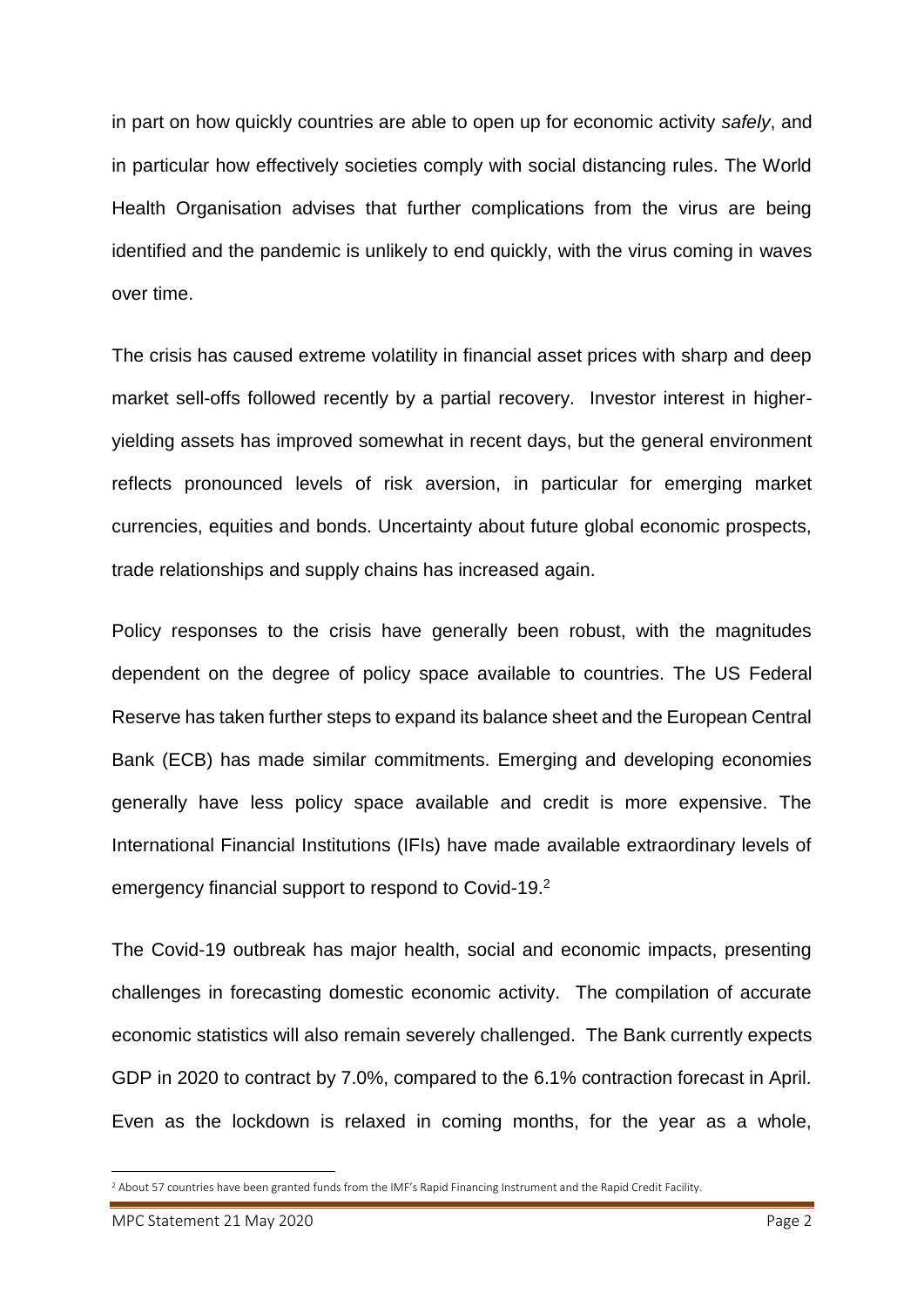in part on how quickly countries are able to open up for economic activity *safely*, and in particular how effectively societies comply with social distancing rules. The World Health Organisation advises that further complications from the virus are being identified and the pandemic is unlikely to end quickly, with the virus coming in waves over time.

The crisis has caused extreme volatility in financial asset prices with sharp and deep market sell-offs followed recently by a partial recovery. Investor interest in higheryielding assets has improved somewhat in recent days, but the general environment reflects pronounced levels of risk aversion, in particular for emerging market currencies, equities and bonds. Uncertainty about future global economic prospects, trade relationships and supply chains has increased again.

Policy responses to the crisis have generally been robust, with the magnitudes dependent on the degree of policy space available to countries. The US Federal Reserve has taken further steps to expand its balance sheet and the European Central Bank (ECB) has made similar commitments. Emerging and developing economies generally have less policy space available and credit is more expensive. The International Financial Institutions (IFIs) have made available extraordinary levels of emergency financial support to respond to Covid-19.<sup>2</sup>

The Covid-19 outbreak has major health, social and economic impacts, presenting challenges in forecasting domestic economic activity. The compilation of accurate economic statistics will also remain severely challenged. The Bank currently expects GDP in 2020 to contract by 7.0%, compared to the 6.1% contraction forecast in April. Even as the lockdown is relaxed in coming months, for the year as a whole,

 $\overline{a}$ 

<sup>2</sup> About 57 countries have been granted funds from the IMF's Rapid Financing Instrument and the Rapid Credit Facility.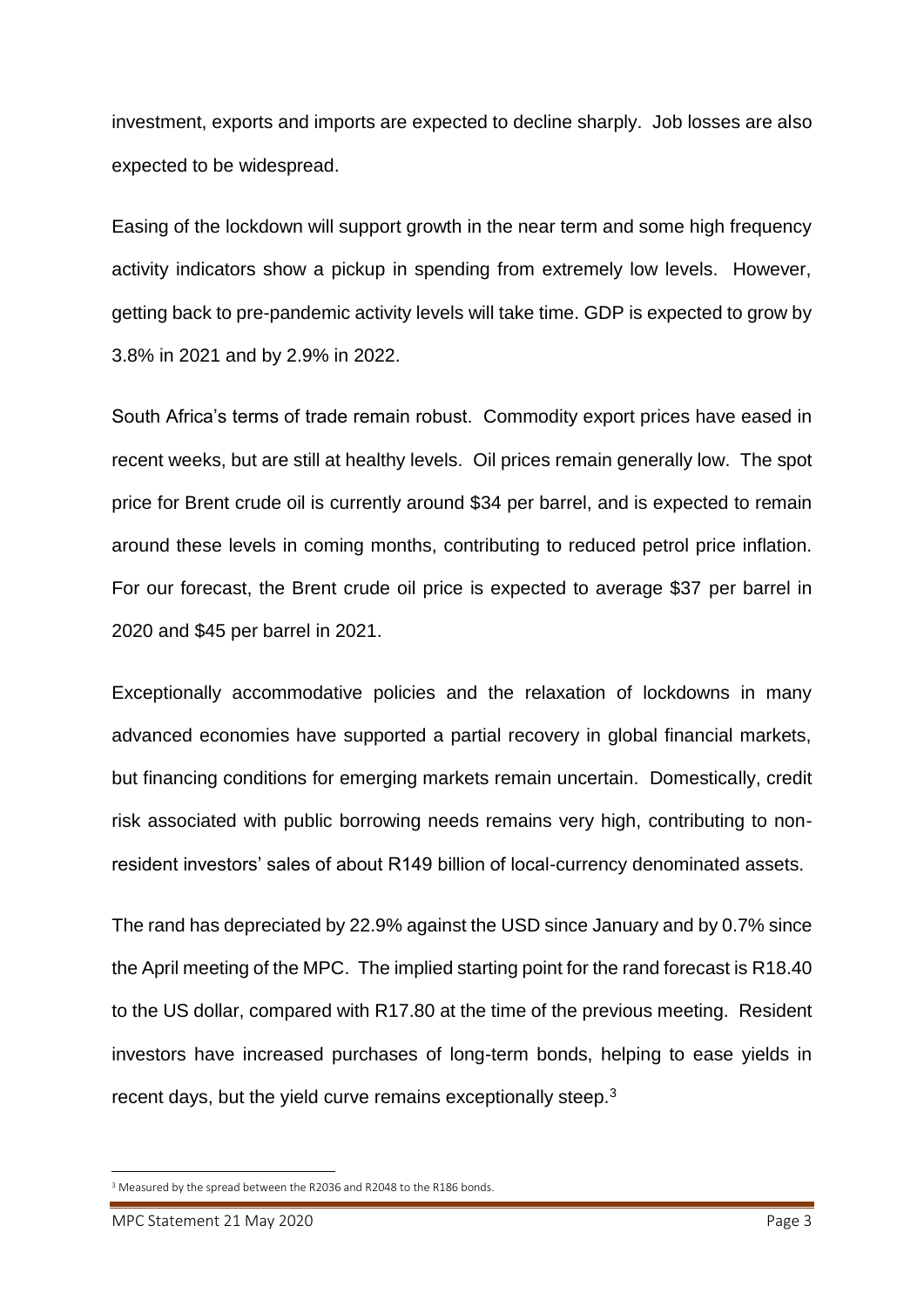investment, exports and imports are expected to decline sharply. Job losses are also expected to be widespread.

Easing of the lockdown will support growth in the near term and some high frequency activity indicators show a pickup in spending from extremely low levels. However, getting back to pre-pandemic activity levels will take time. GDP is expected to grow by 3.8% in 2021 and by 2.9% in 2022.

South Africa's terms of trade remain robust. Commodity export prices have eased in recent weeks, but are still at healthy levels. Oil prices remain generally low. The spot price for Brent crude oil is currently around \$34 per barrel, and is expected to remain around these levels in coming months, contributing to reduced petrol price inflation. For our forecast, the Brent crude oil price is expected to average \$37 per barrel in 2020 and \$45 per barrel in 2021.

Exceptionally accommodative policies and the relaxation of lockdowns in many advanced economies have supported a partial recovery in global financial markets, but financing conditions for emerging markets remain uncertain. Domestically, credit risk associated with public borrowing needs remains very high, contributing to nonresident investors' sales of about R149 billion of local-currency denominated assets.

The rand has depreciated by 22.9% against the USD since January and by 0.7% since the April meeting of the MPC. The implied starting point for the rand forecast is R18.40 to the US dollar, compared with R17.80 at the time of the previous meeting. Resident investors have increased purchases of long-term bonds, helping to ease yields in recent days, but the yield curve remains exceptionally steep. $3$ 

 $\overline{a}$ 

<sup>&</sup>lt;sup>3</sup> Measured by the spread between the R2036 and R2048 to the R186 bonds.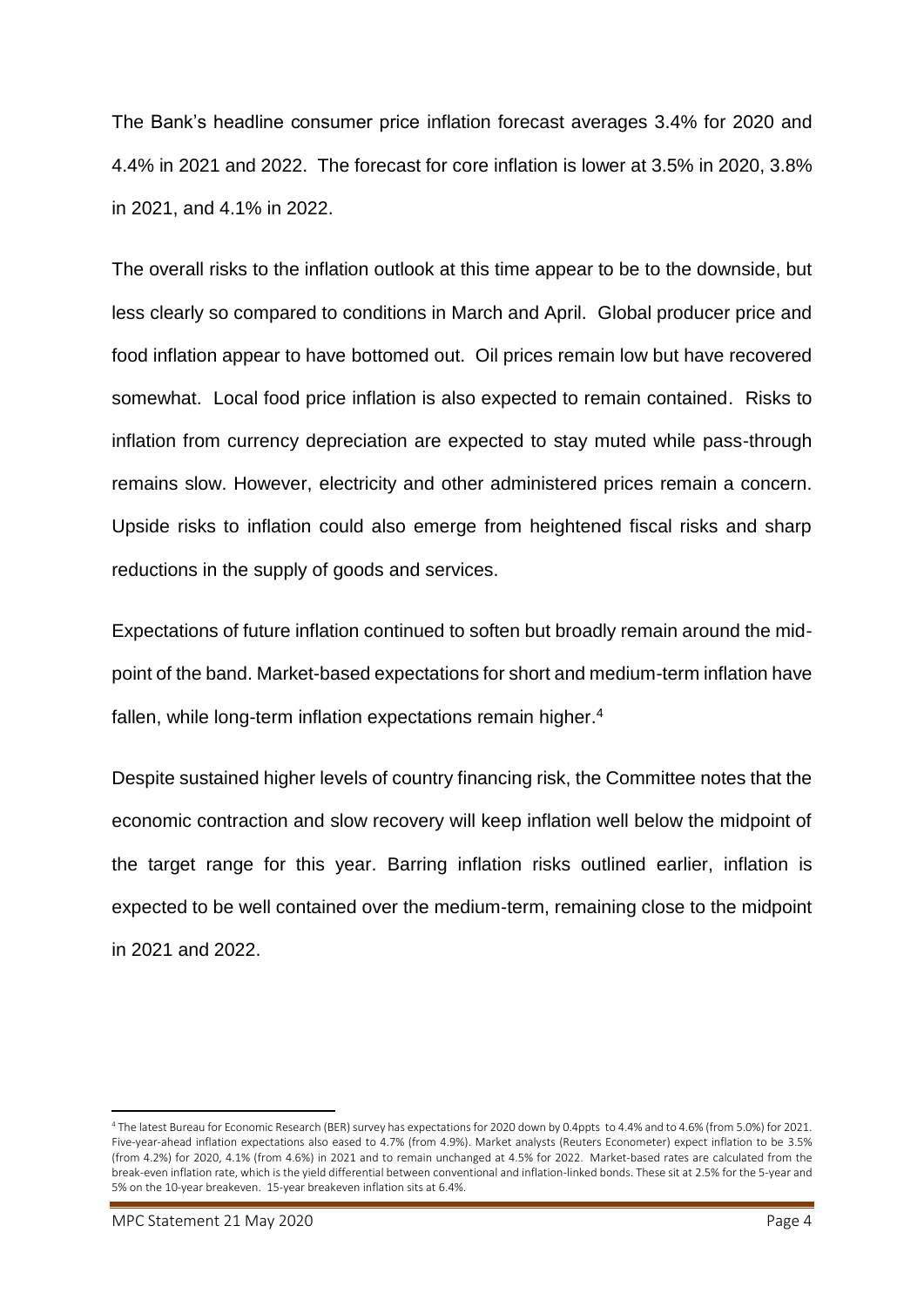The Bank's headline consumer price inflation forecast averages 3.4% for 2020 and 4.4% in 2021 and 2022. The forecast for core inflation is lower at 3.5% in 2020, 3.8% in 2021, and 4.1% in 2022.

The overall risks to the inflation outlook at this time appear to be to the downside, but less clearly so compared to conditions in March and April. Global producer price and food inflation appear to have bottomed out. Oil prices remain low but have recovered somewhat. Local food price inflation is also expected to remain contained. Risks to inflation from currency depreciation are expected to stay muted while pass-through remains slow. However, electricity and other administered prices remain a concern. Upside risks to inflation could also emerge from heightened fiscal risks and sharp reductions in the supply of goods and services.

Expectations of future inflation continued to soften but broadly remain around the midpoint of the band. Market-based expectations for short and medium-term inflation have fallen, while long-term inflation expectations remain higher.<sup>4</sup>

Despite sustained higher levels of country financing risk, the Committee notes that the economic contraction and slow recovery will keep inflation well below the midpoint of the target range for this year. Barring inflation risks outlined earlier, inflation is expected to be well contained over the medium-term, remaining close to the midpoint in 2021 and 2022.

1

<sup>4</sup> The latest Bureau for Economic Research (BER) survey has expectations for 2020 down by 0.4ppts to 4.4% and to 4.6% (from 5.0%) for 2021. Five-year-ahead inflation expectations also eased to 4.7% (from 4.9%). Market analysts (Reuters Econometer) expect inflation to be 3.5% (from 4.2%) for 2020, 4.1% (from 4.6%) in 2021 and to remain unchanged at 4.5% for 2022. Market-based rates are calculated from the break-even inflation rate, which is the yield differential between conventional and inflation-linked bonds. These sit at 2.5% for the 5-year and 5% on the 10-year breakeven. 15-year breakeven inflation sits at 6.4%.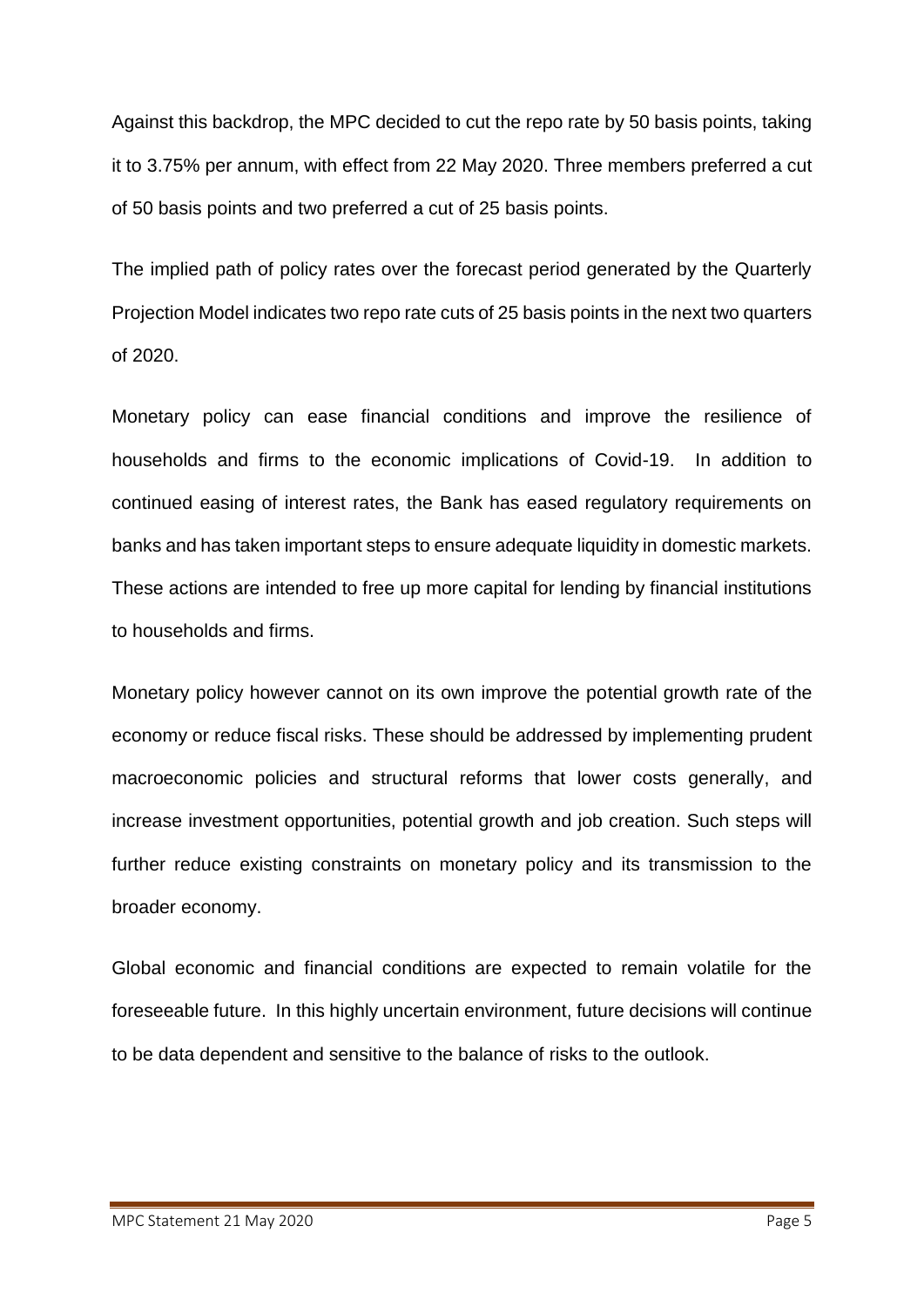Against this backdrop, the MPC decided to cut the repo rate by 50 basis points, taking it to 3.75% per annum, with effect from 22 May 2020. Three members preferred a cut of 50 basis points and two preferred a cut of 25 basis points.

The implied path of policy rates over the forecast period generated by the Quarterly Projection Model indicates two repo rate cuts of 25 basis points in the next two quarters of 2020.

Monetary policy can ease financial conditions and improve the resilience of households and firms to the economic implications of Covid-19. In addition to continued easing of interest rates, the Bank has eased regulatory requirements on banks and has taken important steps to ensure adequate liquidity in domestic markets. These actions are intended to free up more capital for lending by financial institutions to households and firms.

Monetary policy however cannot on its own improve the potential growth rate of the economy or reduce fiscal risks. These should be addressed by implementing prudent macroeconomic policies and structural reforms that lower costs generally, and increase investment opportunities, potential growth and job creation. Such steps will further reduce existing constraints on monetary policy and its transmission to the broader economy.

Global economic and financial conditions are expected to remain volatile for the foreseeable future. In this highly uncertain environment, future decisions will continue to be data dependent and sensitive to the balance of risks to the outlook.